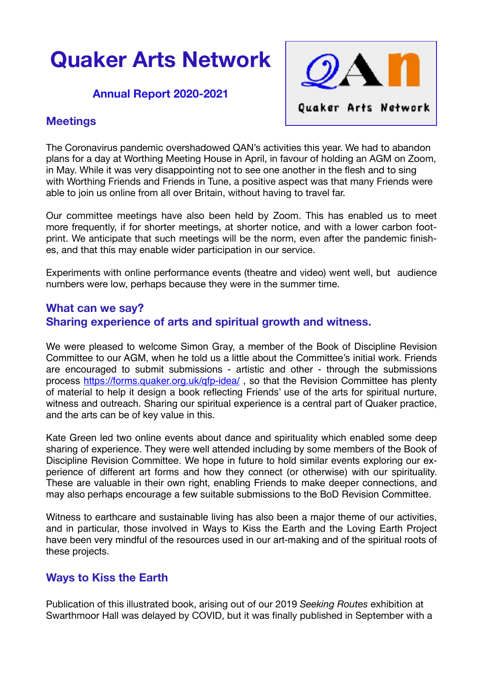# **Quaker Arts Network**

### **Annual Report 2020-2021**



## **Meetings**

The Coronavirus pandemic overshadowed QAN's activities this year. We had to abandon plans for a day at Worthing Meeting House in April, in favour of holding an AGM on Zoom, in May. While it was very disappointing not to see one another in the flesh and to sing with Worthing Friends and Friends in Tune, a positive aspect was that many Friends were able to join us online from all over Britain, without having to travel far.

Our committee meetings have also been held by Zoom. This has enabled us to meet more frequently, if for shorter meetings, at shorter notice, and with a lower carbon footprint. We anticipate that such meetings will be the norm, even after the pandemic finishes, and that this may enable wider participation in our service.

Experiments with online performance events (theatre and video) went well, but audience numbers were low, perhaps because they were in the summer time.

## **What can we say? Sharing experience of arts and spiritual growth and witness.**

We were pleased to welcome Simon Gray, a member of the Book of Discipline Revision Committee to our AGM, when he told us a little about the Committee's initial work. Friends are encouraged to submit submissions - artistic and other - through the submissions process <https://forms.quaker.org.uk/qfp-idea/>, so that the Revision Committee has plenty of material to help it design a book reflecting Friends' use of the arts for spiritual nurture, witness and outreach. Sharing our spiritual experience is a central part of Quaker practice, and the arts can be of key value in this.

Kate Green led two online events about dance and spirituality which enabled some deep sharing of experience. They were well attended including by some members of the Book of Discipline Revision Committee. We hope in future to hold similar events exploring our experience of different art forms and how they connect (or otherwise) with our spirituality. These are valuable in their own right, enabling Friends to make deeper connections, and may also perhaps encourage a few suitable submissions to the BoD Revision Committee.

Witness to earthcare and sustainable living has also been a major theme of our activities, and in particular, those involved in Ways to Kiss the Earth and the Loving Earth Project have been very mindful of the resources used in our art-making and of the spiritual roots of these projects.

## **Ways to Kiss the Earth**

Publication of this illustrated book, arising out of our 2019 *Seeking Routes* exhibition at Swarthmoor Hall was delayed by COVID, but it was finally published in September with a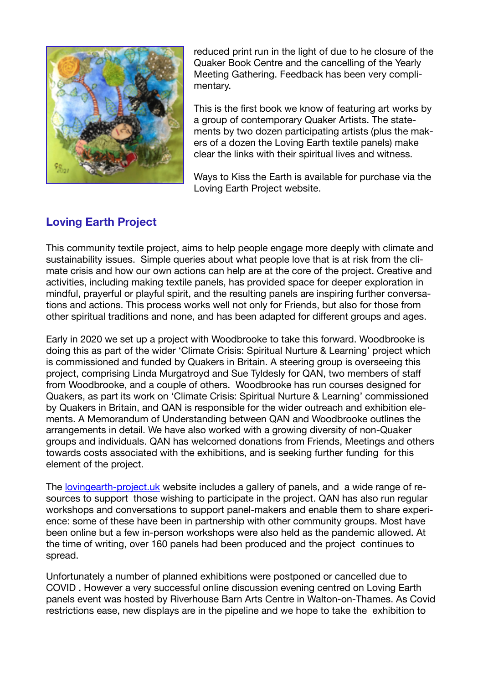

reduced print run in the light of due to he closure of the Quaker Book Centre and the cancelling of the Yearly Meeting Gathering. Feedback has been very complimentary.

This is the first book we know of featuring art works by a group of contemporary Quaker Artists. The statements by two dozen participating artists (plus the makers of a dozen the Loving Earth textile panels) make clear the links with their spiritual lives and witness.

Ways to Kiss the Earth is available for purchase via the Loving Earth Project website.

# **Loving Earth Project**

This community textile project, aims to help people engage more deeply with climate and sustainability issues. Simple queries about what people love that is at risk from the climate crisis and how our own actions can help are at the core of the project. Creative and activities, including making textile panels, has provided space for deeper exploration in mindful, prayerful or playful spirit, and the resulting panels are inspiring further conversations and actions. This process works well not only for Friends, but also for those from other spiritual traditions and none, and has been adapted for different groups and ages.

Early in 2020 we set up a project with Woodbrooke to take this forward. Woodbrooke is doing this as part of the wider 'Climate Crisis: Spiritual Nurture & Learning' project which is commissioned and funded by Quakers in Britain. A steering group is overseeing this project, comprising Linda Murgatroyd and Sue Tyldesly for QAN, two members of staff from Woodbrooke, and a couple of others. Woodbrooke has run courses designed for Quakers, as part its work on 'Climate Crisis: Spiritual Nurture & Learning' commissioned by Quakers in Britain, and QAN is responsible for the wider outreach and exhibition elements. A Memorandum of Understanding between QAN and Woodbrooke outlines the arrangements in detail. We have also worked with a growing diversity of non-Quaker groups and individuals. QAN has welcomed donations from Friends, Meetings and others towards costs associated with the exhibitions, and is seeking further funding for this element of the project.

The [lovingearth-project.uk](http://lovingearth-project.uk) website includes a gallery of panels, and a wide range of resources to support those wishing to participate in the project. QAN has also run regular workshops and conversations to support panel-makers and enable them to share experience: some of these have been in partnership with other community groups. Most have been online but a few in-person workshops were also held as the pandemic allowed. At the time of writing, over 160 panels had been produced and the project continues to spread.

Unfortunately a number of planned exhibitions were postponed or cancelled due to COVID . However a very successful online discussion evening centred on Loving Earth panels event was hosted by Riverhouse Barn Arts Centre in Walton-on-Thames. As Covid restrictions ease, new displays are in the pipeline and we hope to take the exhibition to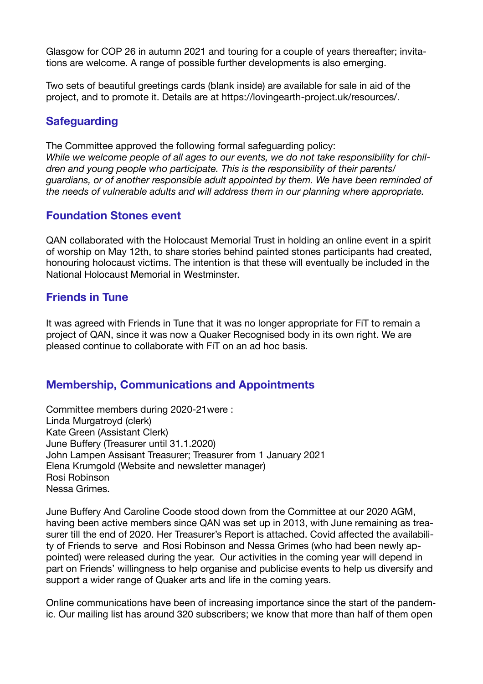Glasgow for COP 26 in autumn 2021 and touring for a couple of years thereafter; invitations are welcome. A range of possible further developments is also emerging.

Two sets of beautiful greetings cards (blank inside) are available for sale in aid of the project, and to promote it. Details are at https://lovingearth-project.uk/resources/.

# **Safeguarding**

The Committee approved the following formal safeguarding policy:

*While we welcome people of all ages to our events, we do not take responsibility for children and young people who participate. This is the responsibility of their parents/ guardians, or of another responsible adult appointed by them. We have been reminded of the needs of vulnerable adults and will address them in our planning where appropriate.* 

## **Foundation Stones event**

QAN collaborated with the Holocaust Memorial Trust in holding an online event in a spirit of worship on May 12th, to share stories behind painted stones participants had created, honouring holocaust victims. The intention is that these will eventually be included in the National Holocaust Memorial in Westminster.

## **Friends in Tune**

It was agreed with Friends in Tune that it was no longer appropriate for FiT to remain a project of QAN, since it was now a Quaker Recognised body in its own right. We are pleased continue to collaborate with FiT on an ad hoc basis.

## **Membership, Communications and Appointments**

Committee members during 2020-21were : Linda Murgatroyd (clerk) Kate Green (Assistant Clerk) June Buffery (Treasurer until 31.1.2020) John Lampen Assisant Treasurer; Treasurer from 1 January 2021 Elena Krumgold (Website and newsletter manager) Rosi Robinson Nessa Grimes.

June Buffery And Caroline Coode stood down from the Committee at our 2020 AGM, having been active members since QAN was set up in 2013, with June remaining as treasurer till the end of 2020. Her Treasurer's Report is attached. Covid affected the availability of Friends to serve and Rosi Robinson and Nessa Grimes (who had been newly appointed) were released during the year. Our activities in the coming year will depend in part on Friends' willingness to help organise and publicise events to help us diversify and support a wider range of Quaker arts and life in the coming years.

Online communications have been of increasing importance since the start of the pandemic. Our mailing list has around 320 subscribers; we know that more than half of them open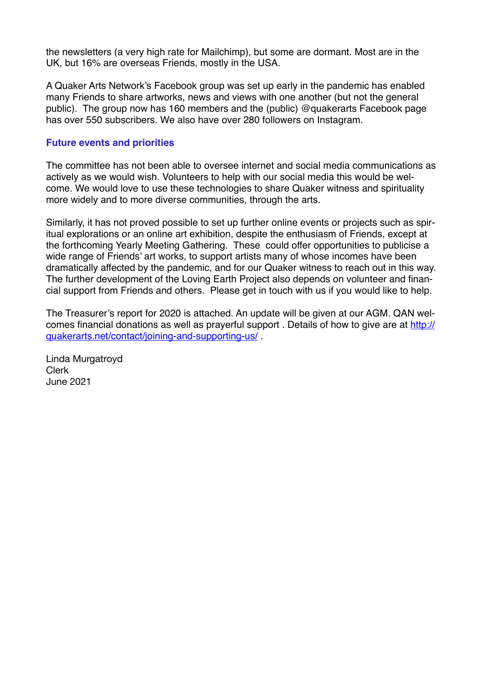the newsletters (a very high rate for Mailchimp), but some are dormant. Most are in the UK, but 16% are overseas Friends, mostly in the USA.

A Quaker Arts Network's Facebook group was set up early in the pandemic has enabled many Friends to share artworks, news and views with one another (but not the general public). The group now has 160 members and the (public) @quakerarts Facebook page has over 550 subscribers. We also have over 280 followers on Instagram.

#### **Future events and priorities**

The committee has not been able to oversee internet and social media communications as actively as we would wish. Volunteers to help with our social media this would be welcome. We would love to use these technologies to share Quaker witness and spirituality more widely and to more diverse communities, through the arts.

Similarly, it has not proved possible to set up further online events or projects such as spiritual explorations or an online art exhibition, despite the enthusiasm of Friends, except at the forthcoming Yearly Meeting Gathering. These could offer opportunities to publicise a wide range of Friends' art works, to support artists many of whose incomes have been dramatically affected by the pandemic, and for our Quaker witness to reach out in this way. The further development of the Loving Earth Project also depends on volunteer and financial support from Friends and others. Please get in touch with us if you would like to help.

The Treasurer's report for 2020 is attached. An update will be given at our AGM. QAN welcomes financial donations as well as prayerful support . Details of how to give are at [http://](http://quakerarts.net/contact/joining-and-supporting-us/) [quakerarts.net/contact/joining-and-supporting-us/](http://quakerarts.net/contact/joining-and-supporting-us/) .

Linda Murgatroyd Clerk June 2021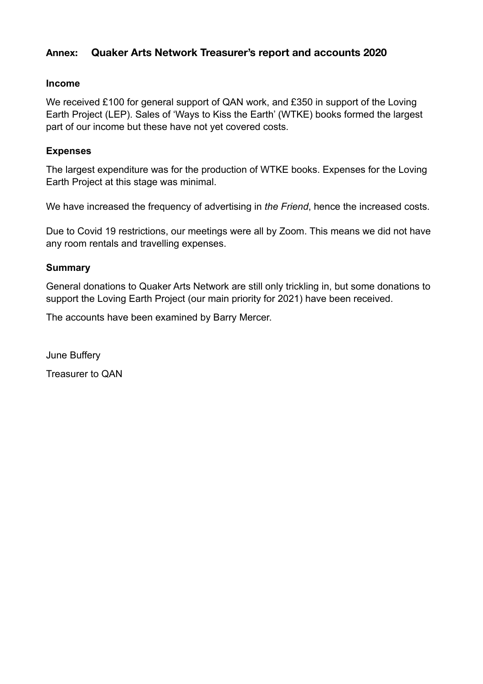## **Annex: Quaker Arts Network Treasurer's report and accounts 2020**

#### **Income**

We received £100 for general support of QAN work, and £350 in support of the Loving Earth Project (LEP). Sales of 'Ways to Kiss the Earth' (WTKE) books formed the largest part of our income but these have not yet covered costs.

#### **Expenses**

The largest expenditure was for the production of WTKE books. Expenses for the Loving Earth Project at this stage was minimal.

We have increased the frequency of advertising in *the Friend*, hence the increased costs.

Due to Covid 19 restrictions, our meetings were all by Zoom. This means we did not have any room rentals and travelling expenses.

#### **Summary**

General donations to Quaker Arts Network are still only trickling in, but some donations to support the Loving Earth Project (our main priority for 2021) have been received.

The accounts have been examined by Barry Mercer.

June Buffery Treasurer to QAN